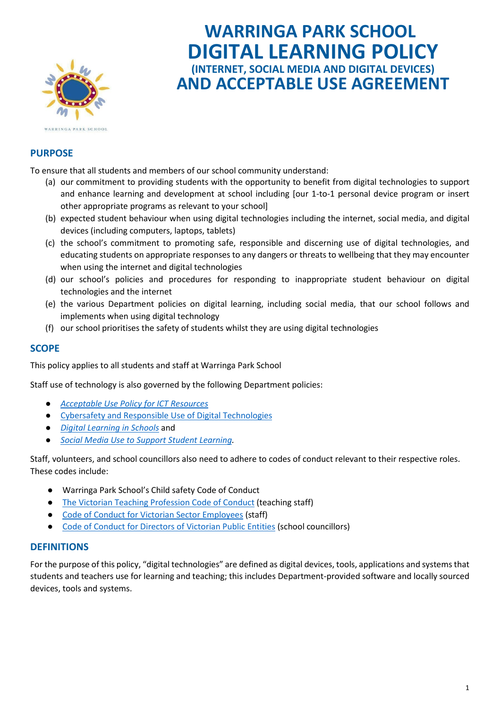

# **WARRINGA PARK SCHOOL DIGITAL LEARNING POLICY (INTERNET, SOCIAL MEDIA AND DIGITAL DEVICES) AND ACCEPTABLE USE AGREEMENT**

# **PURPOSE**

To ensure that all students and members of our school community understand:

- (a) our commitment to providing students with the opportunity to benefit from digital technologies to support and enhance learning and development at school including [our 1-to-1 personal device program or insert other appropriate programs as relevant to your school]
- (b) expected student behaviour when using digital technologies including the internet, social media, and digital devices (including computers, laptops, tablets)
- (c) the school's commitment to promoting safe, responsible and discerning use of digital technologies, and educating students on appropriate responses to any dangers or threats to wellbeing that they may encounter when using the internet and digital technologies
- (d) our school's policies and procedures for responding to inappropriate student behaviour on digital technologies and the internet
- (e) the various Department policies on digital learning, including social media, that our school follows and implements when using digital technology
- (f) our school prioritises the safety of students whilst they are using digital technologies

## **SCOPE**

This policy applies to all students and staff at Warringa Park School

Staff use of technology is also governed by the following Department policies:

- *[Acceptable Use Policy for ICT Resources](https://www2.education.vic.gov.au/pal/ict-acceptable-use/overview)*
- [Cybersafety and Responsible Use of Digital Technologies](https://www2.education.vic.gov.au/pal/cybersafety/policy)
- *[Digital Learning in Schools](https://www2.education.vic.gov.au/pal/digital-learning/policy)* and
- *[Social Media Use to Support Student Learning.](https://www2.education.vic.gov.au/pal/social-media/policy)*

Staff, volunteers, and school councillors also need to adhere to codes of conduct relevant to their respective roles. These codes include:

- Warringa Park School's Child safety Code of Conduct
- [The Victorian Teaching Profession Code of Conduct](https://www.vit.vic.edu.au/__data/assets/pdf_file/0018/35604/Code-of-Conduct-2016.pdf) (teaching staff)
- [Code of Conduct for Victorian Sector Employees](https://www2.education.vic.gov.au/pal/code-conduct/overview) (staff)
- [Code of Conduct for Directors of Victorian Public Entities](https://www2.education.vic.gov.au/pal/school-council-conduct/policy) (school councillors)

### **DEFINITIONS**

For the purpose of this policy, "digital technologies" are defined as digital devices, tools, applications and systems that students and teachers use for learning and teaching; this includes Department-provided software and locally sourced devices, tools and systems.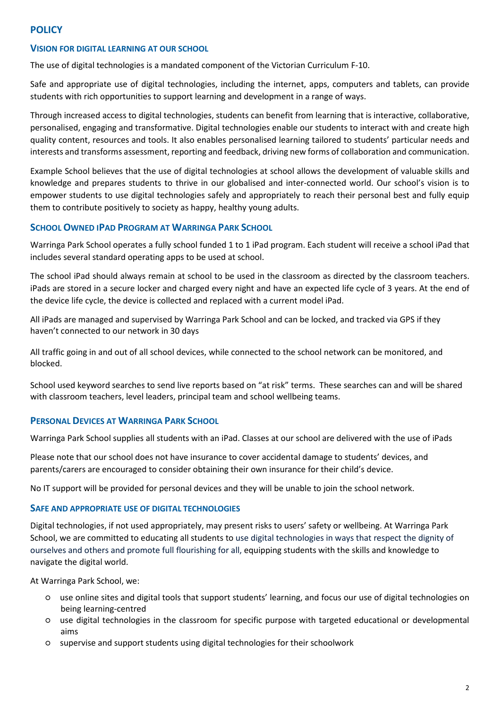## **POLICY**

#### **VISION FOR DIGITAL LEARNING AT OUR SCHOOL**

The use of digital technologies is a mandated component of the Victorian Curriculum F-10.

Safe and appropriate use of digital technologies, including the internet, apps, computers and tablets, can provide students with rich opportunities to support learning and development in a range of ways.

Through increased access to digital technologies, students can benefit from learning that is interactive, collaborative, personalised, engaging and transformative. Digital technologies enable our students to interact with and create high quality content, resources and tools. It also enables personalised learning tailored to students' particular needs and interests and transforms assessment, reporting and feedback, driving new forms of collaboration and communication.

Example School believes that the use of digital technologies at school allows the development of valuable skills and knowledge and prepares students to thrive in our globalised and inter-connected world. Our school's vision is to empower students to use digital technologies safely and appropriately to reach their personal best and fully equip them to contribute positively to society as happy, healthy young adults.

### **SCHOOL OWNED IPAD PROGRAM AT WARRINGA PARK SCHOOL**

Warringa Park School operates a fully school funded 1 to 1 iPad program. Each student will receive a school iPad that includes several standard operating apps to be used at school.

The school iPad should always remain at school to be used in the classroom as directed by the classroom teachers. iPads are stored in a secure locker and charged every night and have an expected life cycle of 3 years. At the end of the device life cycle, the device is collected and replaced with a current model iPad.

All iPads are managed and supervised by Warringa Park School and can be locked, and tracked via GPS if they haven't connected to our network in 30 days

All traffic going in and out of all school devices, while connected to the school network can be monitored, and blocked.

School used keyword searches to send live reports based on "at risk" terms. These searches can and will be shared with classroom teachers, level leaders, principal team and school wellbeing teams.

## **PERSONAL DEVICES AT WARRINGA PARK SCHOOL**

Warringa Park School supplies all students with an iPad. Classes at our school are delivered with the use of iPads

Please note that our school does not have insurance to cover accidental damage to students' devices, and parents/carers are encouraged to consider obtaining their own insurance for their child's device.

No IT support will be provided for personal devices and they will be unable to join the school network.

### **SAFE AND APPROPRIATE USE OF DIGITAL TECHNOLOGIES**

Digital technologies, if not used appropriately, may present risks to users' safety or wellbeing. At Warringa Park School, we are committed to educating all students to use digital technologies in ways that respect the dignity of ourselves and others and promote full flourishing for all, equipping students with the skills and knowledge to navigate the digital world.

At Warringa Park School, we:

- use online sites and digital tools that support students' learning, and focus our use of digital technologies on being learning-centred
- use digital technologies in the classroom for specific purpose with targeted educational or developmental aims
- supervise and support students using digital technologies for their schoolwork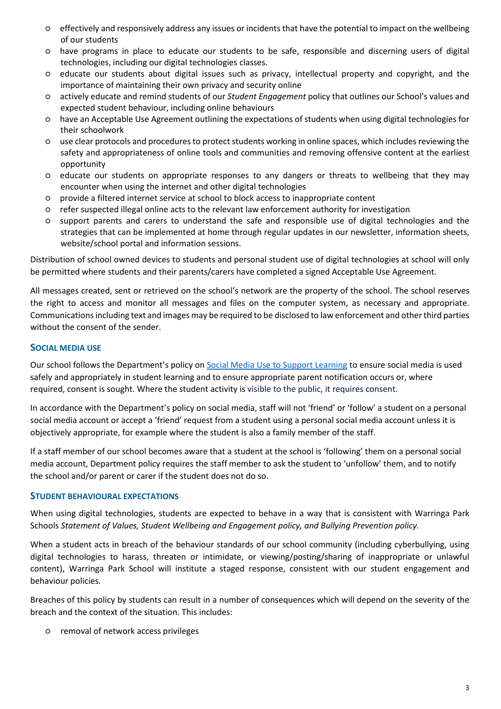- effectively and responsively address any issues or incidents that have the potential to impact on the wellbeing of our students
- have programs in place to educate our students to be safe, responsible and discerning users of digital technologies, including our digital technologies classes.
- educate our students about digital issues such as privacy, intellectual property and copyright, and the importance of maintaining their own privacy and security online
- actively educate and remind students of our *Student Engagement* policy that outlines our School's values and expected student behaviour, including online behaviours
- have an Acceptable Use Agreement outlining the expectations of students when using digital technologies for their schoolwork
- use clear protocols and procedures to protect students working in online spaces, which includes reviewing the safety and appropriateness of online tools and communities and removing offensive content at the earliest opportunity
- educate our students on appropriate responses to any dangers or threats to wellbeing that they may encounter when using the internet and other digital technologies
- provide a filtered internet service at school to block access to inappropriate content
- refer suspected illegal online acts to the relevant law enforcement authority for investigation
- support parents and carers to understand the safe and responsible use of digital technologies and the strategies that can be implemented at home through regular updates in our newsletter, information sheets, website/school portal and information sessions.

Distribution of school owned devices to students and personal student use of digital technologies at school will only be permitted where students and their parents/carers have completed a signed Acceptable Use Agreement.

All messages created, sent or retrieved on the school's network are the property of the school. The school reserves the right to access and monitor all messages and files on the computer system, as necessary and appropriate. Communications including text and images may be required to be disclosed to law enforcement and other third parties without the consent of the sender.

### **SOCIAL MEDIA USE**

Our school follows the Department's policy o[n Social Media Use to Support Learning](https://www2.education.vic.gov.au/pal/social-media/policy) to ensure social media is used safely and appropriately in student learning and to ensure appropriate parent notification occurs or, where required, consent is sought. Where the student activity is visible to the public, it requires consent.

In accordance with the Department's policy on social media, staff will not 'friend' or 'follow' a student on a personal social media account or accept a 'friend' request from a student using a personal social media account unless it is objectively appropriate, for example where the student is also a family member of the staff.

If a staff member of our school becomes aware that a student at the school is 'following' them on a personal social media account, Department policy requires the staff member to ask the student to 'unfollow' them, and to notify the school and/or parent or carer if the student does not do so.

#### **STUDENT BEHAVIOURAL EXPECTATIONS**

When using digital technologies, students are expected to behave in a way that is consistent with Warringa Park Schools *Statement of Values, Student Wellbeing and Engagement policy, and Bullying Prevention policy.*

When a student acts in breach of the behaviour standards of our school community (including cyberbullying, using digital technologies to harass, threaten or intimidate, or viewing/posting/sharing of inappropriate or unlawful content), Warringa Park School will institute a staged response, consistent with our student engagement and behaviour policies*.*

Breaches of this policy by students can result in a number of consequences which will depend on the severity of the breach and the context of the situation. This includes:

○ removal of network access privileges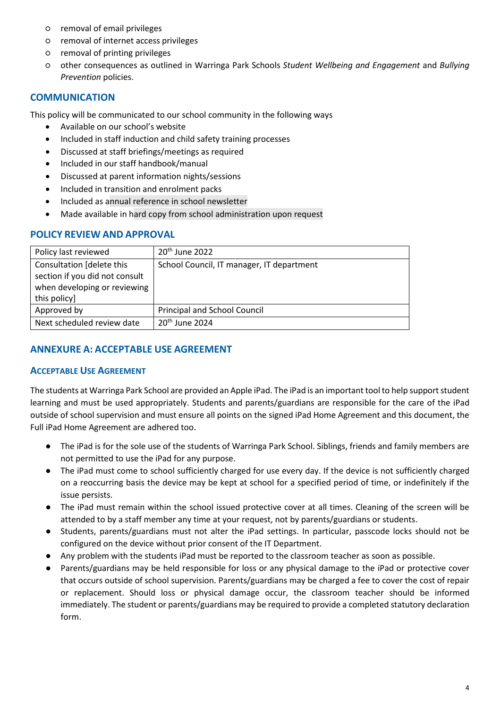- removal of email privileges
- removal of internet access privileges
- removal of printing privileges
- other consequences as outlined in Warringa Park Schools *Student Wellbeing and Engagement* and *Bullying Prevention* policies.

## **COMMUNICATION**

This policy will be communicated to our school community in the following ways

- Available on our school's website
- Included in staff induction and child safety training processes
- Discussed at staff briefings/meetings as required
- Included in our staff handbook/manual
- Discussed at parent information nights/sessions
- Included in transition and enrolment packs
- Included as annual reference in school newsletter
- Made available in hard copy from school administration upon request

## **POLICY REVIEW AND APPROVAL**

| Policy last reviewed           | $20th$ June 2022                          |
|--------------------------------|-------------------------------------------|
| Consultation [delete this      | School Council, IT manager, IT department |
| section if you did not consult |                                           |
| when developing or reviewing   |                                           |
| this policy]                   |                                           |
| Approved by                    | Principal and School Council              |
| Next scheduled review date     | $20th$ June 2024                          |

## **ANNEXURE A: ACCEPTABLE USE AGREEMENT**

### **ACCEPTABLE USE AGREEMENT**

The students at Warringa Park School are provided an Apple iPad. The iPad is an important tool to help support student learning and must be used appropriately. Students and parents/guardians are responsible for the care of the iPad outside of school supervision and must ensure all points on the signed iPad Home Agreement and this document, the Full iPad Home Agreement are adhered too.

- The iPad is for the sole use of the students of Warringa Park School. Siblings, friends and family members are not permitted to use the iPad for any purpose.
- The iPad must come to school sufficiently charged for use every day. If the device is not sufficiently charged on a reoccurring basis the device may be kept at school for a specified period of time, or indefinitely if the issue persists.
- The iPad must remain within the school issued protective cover at all times. Cleaning of the screen will be attended to by a staff member any time at your request, not by parents/guardians or students.
- Students, parents/guardians must not alter the iPad settings. In particular, passcode locks should not be configured on the device without prior consent of the IT Department.
- Any problem with the students iPad must be reported to the classroom teacher as soon as possible.
- Parents/guardians may be held responsible for loss or any physical damage to the iPad or protective cover that occurs outside of school supervision. Parents/guardians may be charged a fee to cover the cost of repair or replacement. Should loss or physical damage occur, the classroom teacher should be informed immediately. The student or parents/guardians may be required to provide a completed statutory declaration form.